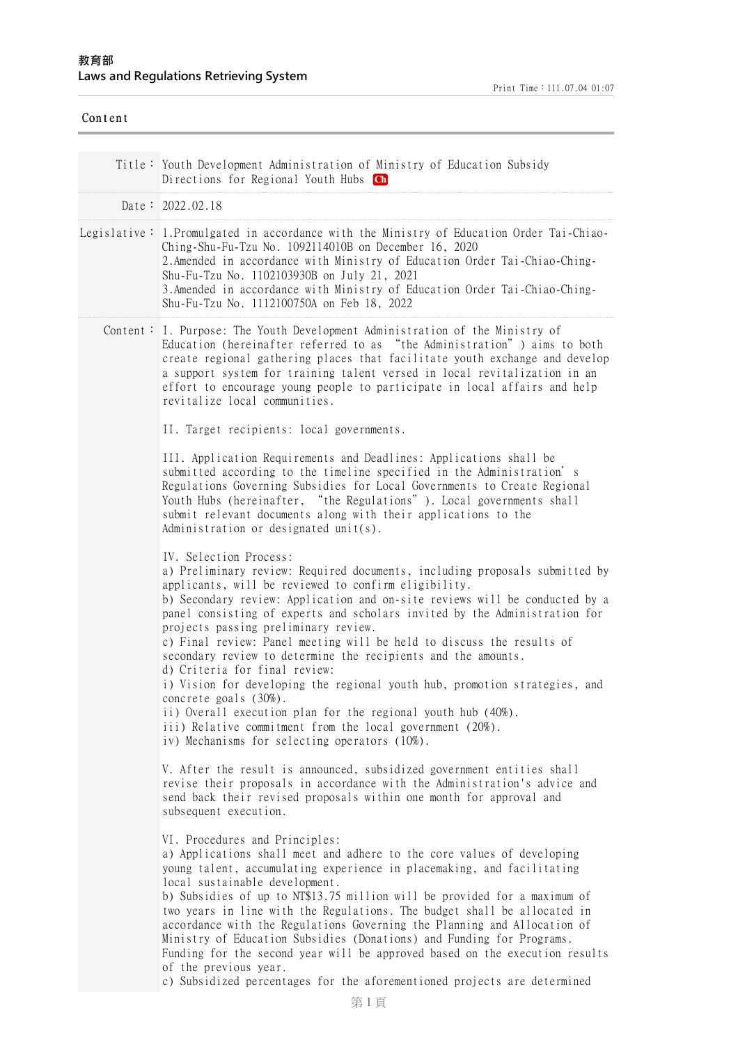| Content |                                                                                                                                                                                                                                                                                                                                                                                                                                                                                                                                                                                                                                                                                                                                                                                                                                    |
|---------|------------------------------------------------------------------------------------------------------------------------------------------------------------------------------------------------------------------------------------------------------------------------------------------------------------------------------------------------------------------------------------------------------------------------------------------------------------------------------------------------------------------------------------------------------------------------------------------------------------------------------------------------------------------------------------------------------------------------------------------------------------------------------------------------------------------------------------|
|         | Title: Youth Development Administration of Ministry of Education Subsidy<br>Directions for Regional Youth Hubs Ch                                                                                                                                                                                                                                                                                                                                                                                                                                                                                                                                                                                                                                                                                                                  |
|         | Date: 2022.02.18                                                                                                                                                                                                                                                                                                                                                                                                                                                                                                                                                                                                                                                                                                                                                                                                                   |
|         | Legislative: 1. Promulgated in accordance with the Ministry of Education Order Tai-Chiao-<br>Ching-Shu-Fu-Tzu No. 1092114010B on December 16, 2020<br>2. Amended in accordance with Ministry of Education Order Tai-Chiao-Ching-<br>Shu-Fu-Tzu No. 1102103930B on July 21, 2021<br>3. Amended in accordance with Ministry of Education Order Tai-Chiao-Ching-<br>Shu-Fu-Tzu No. 1112100750A on Feb 18, 2022                                                                                                                                                                                                                                                                                                                                                                                                                        |
|         | Content: I. Purpose: The Youth Development Administration of the Ministry of<br>Education (hereinafter referred to as "the Administration") aims to both<br>create regional gathering places that facilitate youth exchange and develop<br>a support system for training talent versed in local revitalization in an<br>effort to encourage young people to participate in local affairs and help<br>revitalize local communities.                                                                                                                                                                                                                                                                                                                                                                                                 |
|         | II. Target recipients: local governments.                                                                                                                                                                                                                                                                                                                                                                                                                                                                                                                                                                                                                                                                                                                                                                                          |
|         | III. Application Requirements and Deadlines: Applications shall be<br>submitted according to the timeline specified in the Administration's<br>Regulations Governing Subsidies for Local Governments to Create Regional<br>Youth Hubs (hereinafter, "the Regulations"). Local governments shall<br>submit relevant documents along with their applications to the<br>Administration or designated unit(s).                                                                                                                                                                                                                                                                                                                                                                                                                         |
|         | IV. Selection Process:<br>a) Preliminary review: Required documents, including proposals submitted by<br>applicants, will be reviewed to confirm eligibility.<br>b) Secondary review: Application and on-site reviews will be conducted by a<br>panel consisting of experts and scholars invited by the Administration for<br>projects passing preliminary review.<br>c) Final review: Panel meeting will be held to discuss the results of<br>secondary review to determine the recipients and the amounts.<br>d) Criteria for final review:<br>i) Vision for developing the regional youth hub, promotion strategies, and<br>concrete goals (30%).<br>ii) Overall execution plan for the regional youth hub (40%).<br>iii) Relative commitment from the local government (20%).<br>iv) Mechanisms for selecting operators (10%). |
|         | V. After the result is announced, subsidized government entities shall<br>revise their proposals in accordance with the Administration's advice and<br>send back their revised proposals within one month for approval and<br>subsequent execution.                                                                                                                                                                                                                                                                                                                                                                                                                                                                                                                                                                                |
|         | VI. Procedures and Principles:<br>a) Applications shall meet and adhere to the core values of developing<br>young talent, accumulating experience in placemaking, and facilitating<br>local sustainable development.<br>b) Subsidies of up to NT\$13.75 million will be provided for a maximum of<br>two years in line with the Regulations. The budget shall be allocated in<br>accordance with the Regulations Governing the Planning and Allocation of<br>Ministry of Education Subsidies (Donations) and Funding for Programs.<br>Funding for the second year will be approved based on the execution results<br>of the previous year.<br>c) Subsidized percentages for the aforementioned projects are determined                                                                                                             |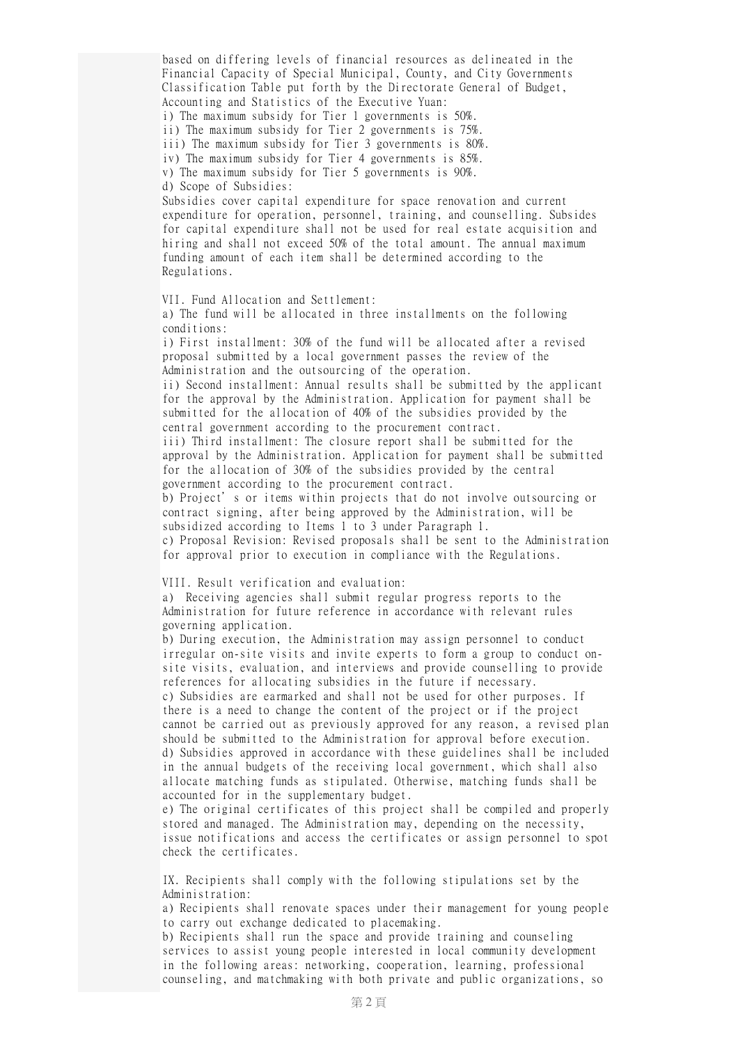based on differing levels of financial resources as delineated in the Financial Capacity of Special Municipal, County, and City Governments Classification Table put forth by the Directorate General of Budget, Accounting and Statistics of the Executive Yuan: i) The maximum subsidy for Tier 1 governments is 50%. ii) The maximum subsidy for Tier 2 governments is 75%. iii) The maximum subsidy for Tier 3 governments is 80%. iv) The maximum subsidy for Tier 4 governments is 85%. v) The maximum subsidy for Tier 5 governments is 90%. d) Scope of Subsidies: Subsidies cover capital expenditure for space renovation and current expenditure for operation, personnel, training, and counselling. Subsides for capital expenditure shall not be used for real estate acquisition and hiring and shall not exceed 50% of the total amount. The annual maximum funding amount of each item shall be determined according to the Regulations. VII. Fund Allocation and Settlement: a) The fund will be allocated in three installments on the following conditions: i) First installment: 30% of the fund will be allocated after a revised proposal submitted by a local government passes the review of the Administration and the outsourcing of the operation. ii) Second installment: Annual results shall be submitted by the applicant for the approval by the Administration. Application for payment shall be submitted for the allocation of 40% of the subsidies provided by the central government according to the procurement contract. iii) Third installment: The closure report shall be submitted for the approval by the Administration. Application for payment shall be submitted for the allocation of 30% of the subsidies provided by the central government according to the procurement contract. b) Project's or items within projects that do not involve outsourcing or contract signing, after being approved by the Administration, will be subsidized according to Items 1 to 3 under Paragraph 1. c) Proposal Revision: Revised proposals shall be sent to the Administration for approval prior to execution in compliance with the Regulations. VIII. Result verification and evaluation: a) Receiving agencies shall submit regular progress reports to the Administration for future reference in accordance with relevant rules governing application. b) During execution, the Administration may assign personnel to conduct irregular on-site visits and invite experts to form a group to conduct onsite visits, evaluation, and interviews and provide counselling to provide references for allocating subsidies in the future if necessary. c) Subsidies are earmarked and shall not be used for other purposes. If there is a need to change the content of the project or if the project cannot be carried out as previously approved for any reason, a revised plan should be submitted to the Administration for approval before execution. d) Subsidies approved in accordance with these guidelines shall be included in the annual budgets of the receiving local government, which shall also allocate matching funds as stipulated. Otherwise, matching funds shall be accounted for in the supplementary budget. e) The original certificates of this project shall be compiled and properly stored and managed. The Administration may, depending on the necessity, issue notifications and access the certificates or assign personnel to spot check the certificates. IX. Recipients shall comply with the following stipulations set by the

Administration: a) Recipients shall renovate spaces under their management for young people to carry out exchange dedicated to placemaking.

b) Recipients shall run the space and provide training and counseling services to assist young people interested in local community development in the following areas: networking, cooperation, learning, professional counseling, and matchmaking with both private and public organizations, so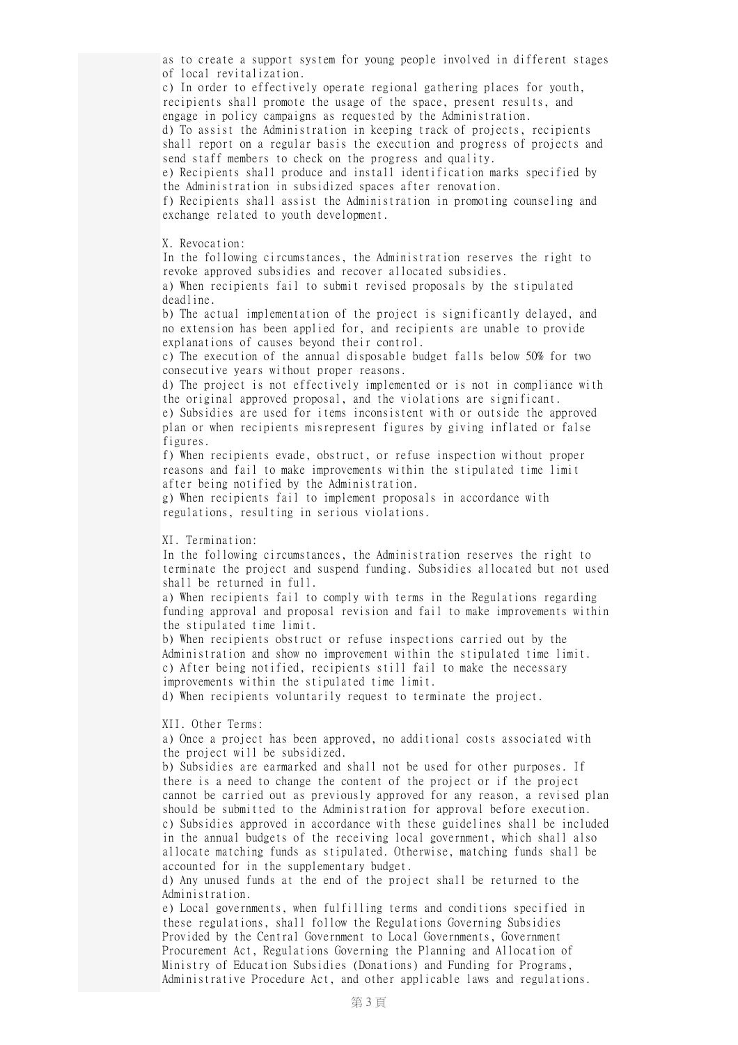as to create a support system for young people involved in different stages of local revitalization. c) In order to effectively operate regional gathering places for youth, recipients shall promote the usage of the space, present results, and engage in policy campaigns as requested by the Administration. d) To assist the Administration in keeping track of projects, recipients shall report on a regular basis the execution and progress of projects and send staff members to check on the progress and quality. e) Recipients shall produce and install identification marks specified by the Administration in subsidized spaces after renovation. f) Recipients shall assist the Administration in promoting counseling and exchange related to youth development. X. Revocation: In the following circumstances, the Administration reserves the right to revoke approved subsidies and recover allocated subsidies. a) When recipients fail to submit revised proposals by the stipulated deadline. b) The actual implementation of the project is significantly delayed, and no extension has been applied for, and recipients are unable to provide explanations of causes beyond their control. c) The execution of the annual disposable budget falls below 50% for two consecutive years without proper reasons. d) The project is not effectively implemented or is not in compliance with the original approved proposal, and the violations are significant. e) Subsidies are used for items inconsistent with or outside the approved plan or when recipients misrepresent figures by giving inflated or false figures. f) When recipients evade, obstruct, or refuse inspection without proper reasons and fail to make improvements within the stipulated time limit after being notified by the Administration. g) When recipients fail to implement proposals in accordance with regulations, resulting in serious violations. XI. Termination: In the following circumstances, the Administration reserves the right to terminate the project and suspend funding. Subsidies allocated but not used shall be returned in full. a) When recipients fail to comply with terms in the Regulations regarding funding approval and proposal revision and fail to make improvements within the stipulated time limit. b) When recipients obstruct or refuse inspections carried out by the Administration and show no improvement within the stipulated time limit. c) After being notified, recipients still fail to make the necessary improvements within the stipulated time limit. d) When recipients voluntarily request to terminate the project. XII. Other Terms: a) Once a project has been approved, no additional costs associated with the project will be subsidized. b) Subsidies are earmarked and shall not be used for other purposes. If there is a need to change the content of the project or if the project cannot be carried out as previously approved for any reason, a revised plan should be submitted to the Administration for approval before execution. c) Subsidies approved in accordance with these guidelines shall be included in the annual budgets of the receiving local government, which shall also allocate matching funds as stipulated. Otherwise, matching funds shall be accounted for in the supplementary budget. d) Any unused funds at the end of the project shall be returned to the Administration. e) Local governments, when fulfilling terms and conditions specified in these regulations, shall follow the Regulations Governing Subsidies

Provided by the Central Government to Local Governments, Government Procurement Act, Regulations Governing the Planning and Allocation of Ministry of Education Subsidies (Donations) and Funding for Programs, Administrative Procedure Act, and other applicable laws and regulations.